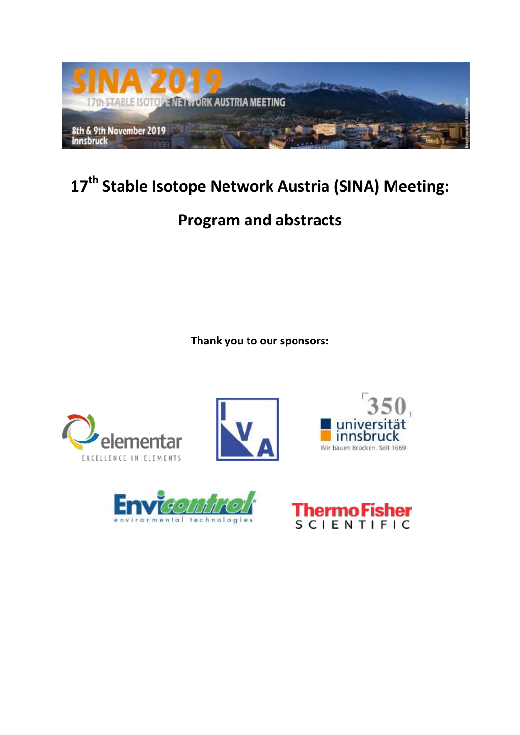

# **17th Stable Isotope Network Austria (SINA) Meeting:**

# **Program and abstracts**

**Thank you to our sponsors:** 









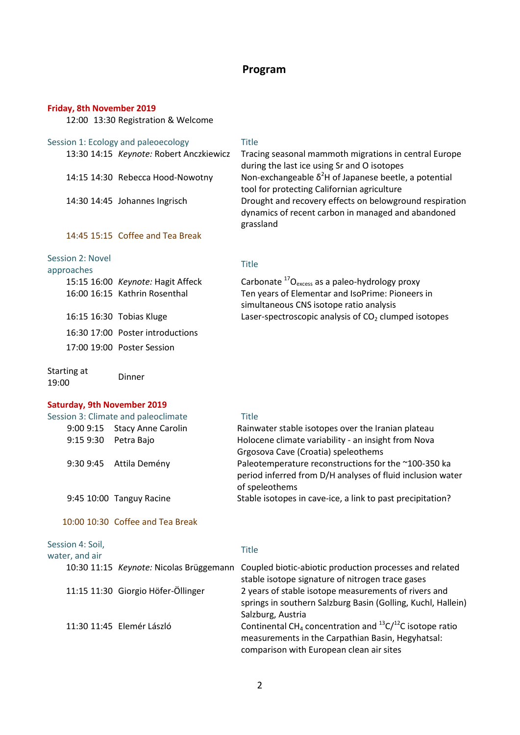# **Program**

### **Friday, 8th November 2019**

12:00 13:30 Registration & Welcome

#### Session 1: Ecology and paleoecology Title

| 13:30 14:15 Keynote: Robert Anczkiewi         |
|-----------------------------------------------|
| $1.1.1 \square 1.1.20$ Delegara Hand National |

#### 14:45 15:15 Coffee and Tea Break

#### Session 2: Novel

# approaches Title

Starting at

| 15:15 16:00 Keynote: Hagit Affeck<br>16:00 16:15 Kathrin Rosenthal |
|--------------------------------------------------------------------|
| 16:15 16:30 Tobias Kluge                                           |
| 16:30 17:00 Poster introductions                                   |
| 17:00 19:00 Poster Session                                         |
|                                                                    |

13:30 14:15 *Keynote:* Robert Anczkiewicz Tracing seasonal mammoth migrations in central Europe during the last ice using Sr and O isotopes 14:15 14:30 Rebecca Hood-Nowotny Non-exchangeable  $\delta^2$ H of Japanese beetle, a potential tool for protecting Californian agriculture 14:30 14:45 Johannes Ingrisch Drought and recovery effects on belowground respiration dynamics of recent carbon in managed and abandoned grassland

k Carbonate <sup>17</sup>O<sub>excess</sub> as a paleo-hydrology proxy Ten years of Elementar and IsoPrime: Pioneers in simultaneous CNS isotope ratio analysis Laser-spectroscopic analysis of  $CO<sub>2</sub>$  clumped isotopes

19:00 Dinner

# **Saturday, 9th November 2019**

|                                    | Session 3: Climate and paleoclimate     | <b>Title</b>                                                                                                                              |
|------------------------------------|-----------------------------------------|-------------------------------------------------------------------------------------------------------------------------------------------|
|                                    | 9:00 9:15 Stacy Anne Carolin            | Rainwater stable isotopes over the Iranian plateau                                                                                        |
| 9:15 9:30 Petra Bajo               |                                         | Holocene climate variability - an insight from Nova<br>Grgosova Cave (Croatia) speleothems                                                |
| 9:30 9:45                          | Attila Demény                           | Paleotemperature reconstructions for the ~100-350 ka<br>period inferred from D/H analyses of fluid inclusion water<br>of speleothems      |
|                                    | 9:45 10:00 Tanguy Racine                | Stable isotopes in cave-ice, a link to past precipitation?                                                                                |
|                                    | 10:00 10:30 Coffee and Tea Break        |                                                                                                                                           |
| Session 4: Soil,<br>water, and air |                                         | <b>Title</b>                                                                                                                              |
|                                    | 10:30 11:15 Keynote: Nicolas Brüggemann | Coupled biotic-abiotic production processes and related<br>stable isotope signature of nitrogen trace gases                               |
|                                    | 11:15 11:30 Giorgio Höfer-Öllinger      | 2 years of stable isotope measurements of rivers and<br>springs in southern Salzburg Basin (Golling, Kuchl, Hallein)<br>Salzburg, Austria |
|                                    | 11:30 11:45 Elemér László               | Continental CH <sub>4</sub> concentration and $^{13}C/^{12}C$ isotope ratio<br>measurements in the Carpathian Basin, Hegyhatsal:          |

comparison with European clean air sites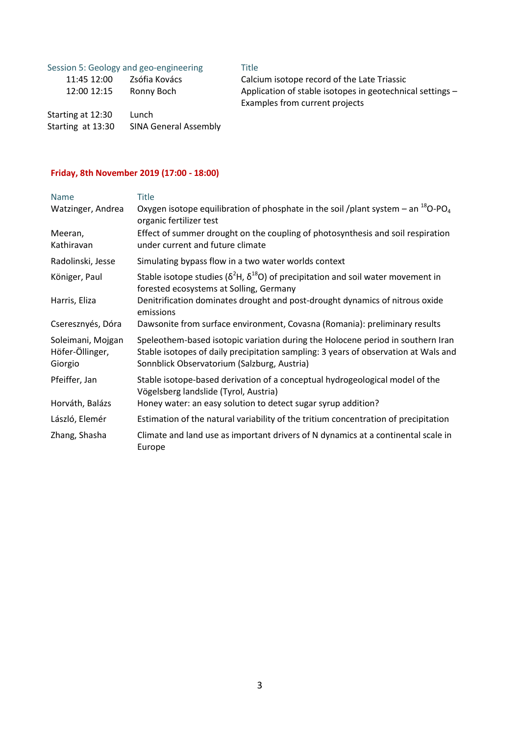| Session 5: Geology and geo-engineering |                              | <b>Title</b> |
|----------------------------------------|------------------------------|--------------|
| 11:45 12:00                            | Zsófia Kovács                | Calc         |
| 12:00 12:15                            | Ronny Boch                   | Appl         |
|                                        |                              | Exar         |
| Starting at 12:30                      | Lunch                        |              |
| Starting at 13:30                      | <b>SINA General Assembly</b> |              |

Calcium isotope record of the Late Triassic Application of stable isotopes in geotechnical settings -Examples from current projects

# **Friday, 8th November 2019 (17:00 - 18:00)**

| <b>Name</b>                                     | <b>Title</b>                                                                                                                                                                                                          |
|-------------------------------------------------|-----------------------------------------------------------------------------------------------------------------------------------------------------------------------------------------------------------------------|
| Watzinger, Andrea                               | Oxygen isotope equilibration of phosphate in the soil /plant system – an $^{18}$ O-PO <sub>4</sub><br>organic fertilizer test                                                                                         |
| Meeran,<br>Kathiravan                           | Effect of summer drought on the coupling of photosynthesis and soil respiration<br>under current and future climate                                                                                                   |
| Radolinski, Jesse                               | Simulating bypass flow in a two water worlds context                                                                                                                                                                  |
| Königer, Paul                                   | Stable isotope studies ( $\delta^2$ H, $\delta^{18}$ O) of precipitation and soil water movement in<br>forested ecosystems at Solling, Germany                                                                        |
| Harris, Eliza                                   | Denitrification dominates drought and post-drought dynamics of nitrous oxide<br>emissions                                                                                                                             |
| Cseresznyés, Dóra                               | Dawsonite from surface environment, Covasna (Romania): preliminary results                                                                                                                                            |
| Soleimani, Mojgan<br>Höfer-Öllinger,<br>Giorgio | Speleothem-based isotopic variation during the Holocene period in southern Iran<br>Stable isotopes of daily precipitation sampling: 3 years of observation at Wals and<br>Sonnblick Observatorium (Salzburg, Austria) |
| Pfeiffer, Jan                                   | Stable isotope-based derivation of a conceptual hydrogeological model of the<br>Vögelsberg landslide (Tyrol, Austria)                                                                                                 |
| Horváth, Balázs                                 | Honey water: an easy solution to detect sugar syrup addition?                                                                                                                                                         |
| László, Elemér                                  | Estimation of the natural variability of the tritium concentration of precipitation                                                                                                                                   |
| Zhang, Shasha                                   | Climate and land use as important drivers of N dynamics at a continental scale in<br>Europe                                                                                                                           |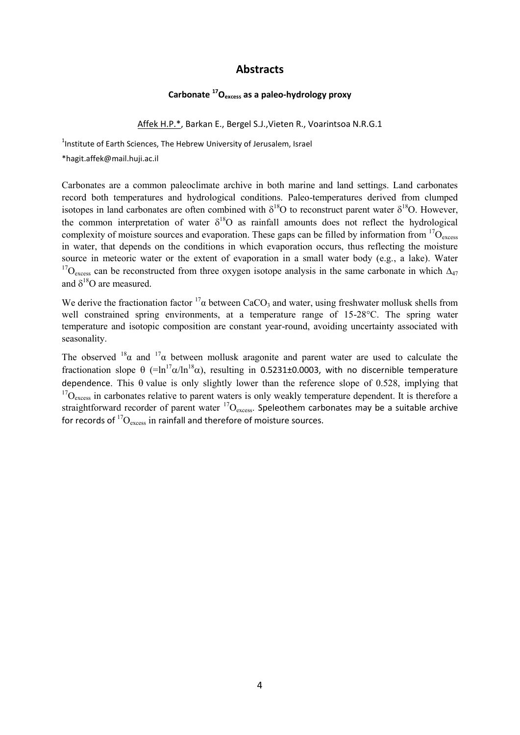# **Abstracts**

# **Carbonate <sup>17</sup>Oexcess as a paleo-hydrology proxy**

Affek H.P.\*, Barkan E., Bergel S.J.,Vieten R., Voarintsoa N.R.G.1

<sup>1</sup>Institute of Earth Sciences, The Hebrew University of Jerusalem, Israel

\*hagit.affek@mail.huji.ac.il

Carbonates are a common paleoclimate archive in both marine and land settings. Land carbonates record both temperatures and hydrological conditions. Paleo-temperatures derived from clumped isotopes in land carbonates are often combined with  $\delta^{18}O$  to reconstruct parent water  $\delta^{18}O$ . However, the common interpretation of water  $\delta^{18}O$  as rainfall amounts does not reflect the hydrological complexity of moisture sources and evaporation. These gaps can be filled by information from  ${}^{17}O_{\text{excess}}$ in water, that depends on the conditions in which evaporation occurs, thus reflecting the moisture source in meteoric water or the extent of evaporation in a small water body (e.g., a lake). Water <sup>17</sup>O<sub>excess</sub> can be reconstructed from three oxygen isotope analysis in the same carbonate in which  $\Delta_{47}$ and  $\delta^{18}O$  are measured.

We derive the fractionation factor  ${}^{17}\alpha$  between CaCO<sub>3</sub> and water, using freshwater mollusk shells from well constrained spring environments, at a temperature range of 15-28°C. The spring water temperature and isotopic composition are constant year-round, avoiding uncertainty associated with seasonality.

The observed  $18\alpha$  and  $17\alpha$  between mollusk aragonite and parent water are used to calculate the fractionation slope  $\theta$  (=ln<sup>17</sup> $\alpha$ /ln<sup>18</sup> $\alpha$ ), resulting in 0.5231±0.0003, with no discernible temperature dependence. This  $\theta$  value is only slightly lower than the reference slope of 0.528, implying that  $17O_{\text{excess}}$  in carbonates relative to parent waters is only weakly temperature dependent. It is therefore a straightforward recorder of parent water  ${}^{17}O_{excess}$ . Speleothem carbonates may be a suitable archive for records of  ${}^{17}O_{\text{excess}}$  in rainfall and therefore of moisture sources.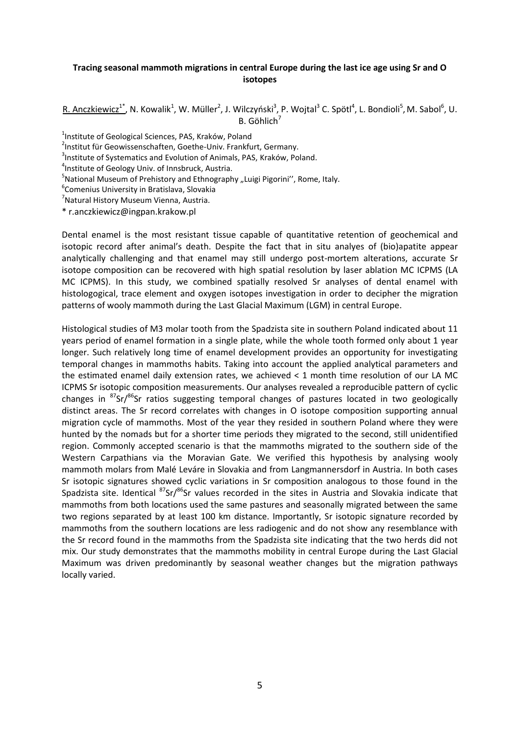# **Tracing seasonal mammoth migrations in central Europe during the last ice age using Sr and O isotopes**

R. Anczkiewicz<sup>1\*</sup>, N. Kowalik<sup>1</sup>, W. Müller<sup>2</sup>, J. Wilczyński<sup>3</sup>, P. Wojtal<sup>3</sup> C. Spötl<sup>4</sup>, L. Bondioli<sup>5</sup>, M. Sabol<sup>6</sup>, U.  $B.$  Göhlich<sup>7</sup>

<sup>1</sup>Institute of Geological Sciences, PAS, Kraków, Poland

2 Institut für Geowissenschaften, Goethe-Univ. Frankfurt, Germany.

<sup>3</sup>Institute of Systematics and Evolution of Animals, PAS, Kraków, Poland.

4 Institute of Geology Univ. of Innsbruck, Austria.

<sup>5</sup>National Museum of Prehistory and Ethnography "Luigi Pigorini<sup>''</sup>, Rome, Italy.

6 Comenius University in Bratislava, Slovakia

<sup>7</sup>Natural History Museum Vienna, Austria.

\* r.anczkiewicz@ingpan.krakow.pl

Dental enamel is the most resistant tissue capable of quantitative retention of geochemical and isotopic record after animal's death. Despite the fact that in situ analyes of (bio)apatite appear analytically challenging and that enamel may still undergo post-mortem alterations, accurate Sr isotope composition can be recovered with high spatial resolution by laser ablation MC ICPMS (LA MC ICPMS). In this study, we combined spatially resolved Sr analyses of dental enamel with histologogical, trace element and oxygen isotopes investigation in order to decipher the migration patterns of wooly mammoth during the Last Glacial Maximum (LGM) in central Europe.

Histological studies of M3 molar tooth from the Spadzista site in southern Poland indicated about 11 years period of enamel formation in a single plate, while the whole tooth formed only about 1 year longer. Such relatively long time of enamel development provides an opportunity for investigating temporal changes in mammoths habits. Taking into account the applied analytical parameters and the estimated enamel daily extension rates, we achieved < 1 month time resolution of our LA MC ICPMS Sr isotopic composition measurements. Our analyses revealed a reproducible pattern of cyclic changes in  $87$ Sr/ $86$ Sr ratios suggesting temporal changes of pastures located in two geologically distinct areas. The Sr record correlates with changes in O isotope composition supporting annual migration cycle of mammoths. Most of the year they resided in southern Poland where they were hunted by the nomads but for a shorter time periods they migrated to the second, still unidentified region. Commonly accepted scenario is that the mammoths migrated to the southern side of the Western Carpathians via the Moravian Gate. We verified this hypothesis by analysing wooly mammoth molars from Malé Leváre in Slovakia and from Langmannersdorf in Austria. In both cases Sr isotopic signatures showed cyclic variations in Sr composition analogous to those found in the Spadzista site. Identical <sup>87</sup>Sr/<sup>86</sup>Sr values recorded in the sites in Austria and Slovakia indicate that mammoths from both locations used the same pastures and seasonally migrated between the same two regions separated by at least 100 km distance. Importantly, Sr isotopic signature recorded by mammoths from the southern locations are less radiogenic and do not show any resemblance with the Sr record found in the mammoths from the Spadzista site indicating that the two herds did not mix. Our study demonstrates that the mammoths mobility in central Europe during the Last Glacial Maximum was driven predominantly by seasonal weather changes but the migration pathways locally varied.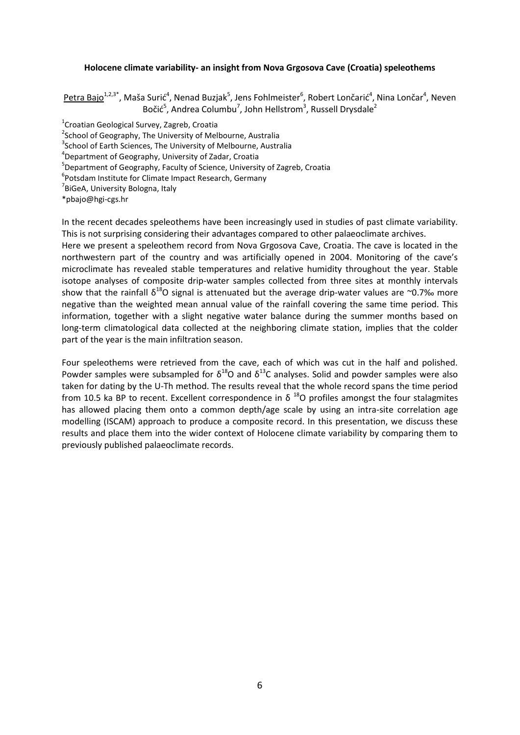### **Holocene climate variability- an insight from Nova Grgosova Cave (Croatia) speleothems**

Petra Bajo<sup>1,2,3\*</sup>, Maša Surić<sup>4</sup>, Nenad Buzjak<sup>5</sup>, Jens Fohlmeister<sup>6</sup>, Robert Lončarić<sup>4</sup>, Nina Lončar<sup>4</sup>, Neven Bočić<sup>5</sup>, Andrea Columbu<sup>7</sup>, John Hellstrom<sup>3</sup>, Russell Drysdale<sup>2</sup>

1 Croatian Geological Survey, Zagreb, Croatia

<sup>2</sup>School of Geography, The University of Melbourne, Australia

<sup>3</sup>School of Earth Sciences, The University of Melbourne, Australia

4 Department of Geography, University of Zadar, Croatia

5 Department of Geography, Faculty of Science, University of Zagreb, Croatia

6 Potsdam Institute for Climate Impact Research, Germany

<sup>7</sup>BiGeA, University Bologna, Italy

\*pbajo@hgi-cgs.hr

In the recent decades speleothems have been increasingly used in studies of past climate variability. This is not surprising considering their advantages compared to other palaeoclimate archives.

Here we present a speleothem record from Nova Grgosova Cave, Croatia. The cave is located in the northwestern part of the country and was artificially opened in 2004. Monitoring of the cave's microclimate has revealed stable temperatures and relative humidity throughout the year. Stable isotope analyses of composite drip-water samples collected from three sites at monthly intervals show that the rainfall  $\delta^{18}$ O signal is attenuated but the average drip-water values are ~0.7‰ more negative than the weighted mean annual value of the rainfall covering the same time period. This information, together with a slight negative water balance during the summer months based on long-term climatological data collected at the neighboring climate station, implies that the colder part of the year is the main infiltration season.

Four speleothems were retrieved from the cave, each of which was cut in the half and polished. Powder samples were subsampled for  $\delta^{18}O$  and  $\delta^{13}C$  analyses. Solid and powder samples were also taken for dating by the U-Th method. The results reveal that the whole record spans the time period from 10.5 ka BP to recent. Excellent correspondence in  $\delta$  <sup>18</sup>O profiles amongst the four stalagmites has allowed placing them onto a common depth/age scale by using an intra-site correlation age modelling (ISCAM) approach to produce a composite record. In this presentation, we discuss these results and place them into the wider context of Holocene climate variability by comparing them to previously published palaeoclimate records.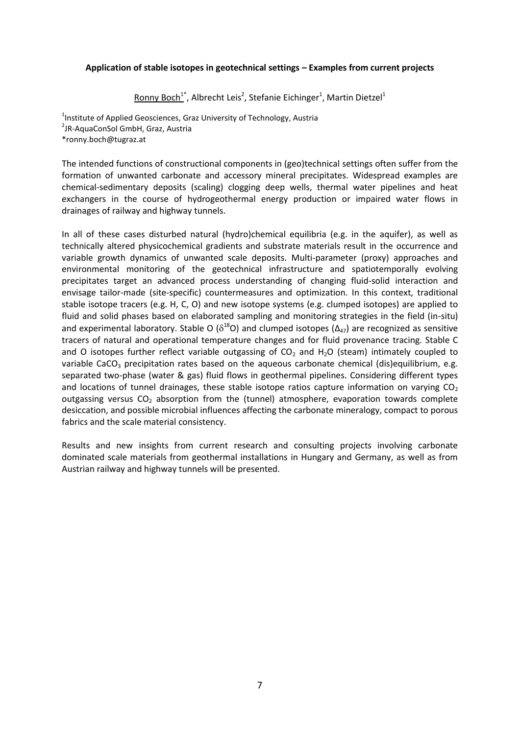# **Application of stable isotopes in geotechnical settings – Examples from current projects**

Ronny Boch<sup>1\*</sup>, Albrecht Leis<sup>2</sup>, Stefanie Eichinger<sup>1</sup>, Martin Dietzel<sup>1</sup>

<sup>1</sup>Institute of Applied Geosciences, Graz University of Technology, Austria <sup>2</sup>JR-AquaConSol GmbH, Graz, Austria \*ronny.boch@tugraz.at

The intended functions of constructional components in (geo)technical settings often suffer from the formation of unwanted carbonate and accessory mineral precipitates. Widespread examples are chemical-sedimentary deposits (scaling) clogging deep wells, thermal water pipelines and heat exchangers in the course of hydrogeothermal energy production or impaired water flows in drainages of railway and highway tunnels.

In all of these cases disturbed natural (hydro)chemical equilibria (e.g. in the aquifer), as well as technically altered physicochemical gradients and substrate materials result in the occurrence and variable growth dynamics of unwanted scale deposits. Multi-parameter (proxy) approaches and environmental monitoring of the geotechnical infrastructure and spatiotemporally evolving precipitates target an advanced process understanding of changing fluid-solid interaction and envisage tailor-made (site-specific) countermeasures and optimization. In this context, traditional stable isotope tracers (e.g. H, C, O) and new isotope systems (e.g. clumped isotopes) are applied to fluid and solid phases based on elaborated sampling and monitoring strategies in the field (in-situ) and experimental laboratory. Stable O ( $\delta^{18}$ O) and clumped isotopes ( $\Delta_{47}$ ) are recognized as sensitive tracers of natural and operational temperature changes and for fluid provenance tracing. Stable C and O isotopes further reflect variable outgassing of  $CO<sub>2</sub>$  and H<sub>2</sub>O (steam) intimately coupled to variable CaCO<sub>3</sub> precipitation rates based on the aqueous carbonate chemical (dis)equilibrium, e.g. separated two-phase (water & gas) fluid flows in geothermal pipelines. Considering different types and locations of tunnel drainages, these stable isotope ratios capture information on varying  $CO<sub>2</sub>$ outgassing versus CO<sub>2</sub> absorption from the (tunnel) atmosphere, evaporation towards complete desiccation, and possible microbial influences affecting the carbonate mineralogy, compact to porous fabrics and the scale material consistency.

Results and new insights from current research and consulting projects involving carbonate dominated scale materials from geothermal installations in Hungary and Germany, as well as from Austrian railway and highway tunnels will be presented.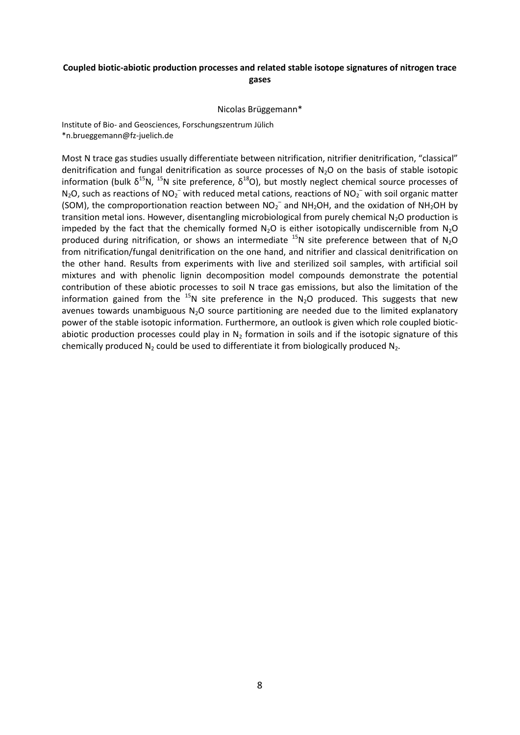# **Coupled biotic-abiotic production processes and related stable isotope signatures of nitrogen trace gases**

Nicolas Brüggemann\*

Institute of Bio- and Geosciences, Forschungszentrum Jülich \*n.brueggemann@fz-juelich.de

Most N trace gas studies usually differentiate between nitrification, nitrifier denitrification, "classical" denitrification and fungal denitrification as source processes of  $N_2O$  on the basis of stable isotopic information (bulk δ<sup>15</sup>N, <sup>15</sup>N site preference, δ<sup>18</sup>O), but mostly neglect chemical source processes of  $N_2O$ , such as reactions of  $NO_2^-$  with reduced metal cations, reactions of  $NO_2^-$  with soil organic matter (SOM), the comproportionation reaction between  $NO_2^-$  and NH<sub>2</sub>OH, and the oxidation of NH<sub>2</sub>OH by transition metal ions. However, disentangling microbiological from purely chemical  $N_2O$  production is impeded by the fact that the chemically formed  $N_2O$  is either isotopically undiscernible from  $N_2O$ produced during nitrification, or shows an intermediate  $^{15}N$  site preference between that of N<sub>2</sub>O from nitrification/fungal denitrification on the one hand, and nitrifier and classical denitrification on the other hand. Results from experiments with live and sterilized soil samples, with artificial soil mixtures and with phenolic lignin decomposition model compounds demonstrate the potential contribution of these abiotic processes to soil N trace gas emissions, but also the limitation of the information gained from the  $^{15}N$  site preference in the N<sub>2</sub>O produced. This suggests that new avenues towards unambiguous  $N_2O$  source partitioning are needed due to the limited explanatory power of the stable isotopic information. Furthermore, an outlook is given which role coupled bioticabiotic production processes could play in  $N<sub>2</sub>$  formation in soils and if the isotopic signature of this chemically produced  $N_2$  could be used to differentiate it from biologically produced  $N_2$ .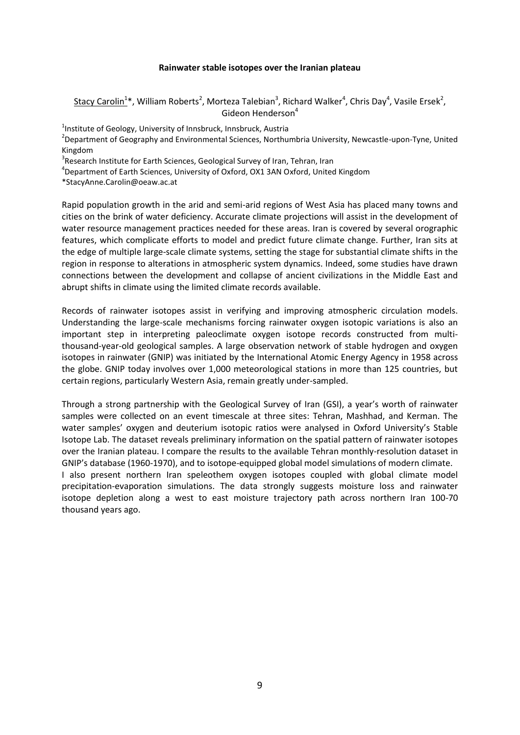### **Rainwater stable isotopes over the Iranian plateau**

 $\frac{\text{Stacy Carolina}^{4}}{\text{Carolin}^{1*}}$ , William Roberts<sup>2</sup>, Morteza Talebian<sup>3</sup>, Richard Walker<sup>4</sup>, Chris Day<sup>4</sup>, Vasile Ersek<sup>2</sup>, Gideon Henderson<sup>4</sup>

<sup>1</sup>Institute of Geology, University of Innsbruck, Innsbruck, Austria

<sup>2</sup>Department of Geography and Environmental Sciences, Northumbria University, Newcastle-upon-Tyne, United Kingdom

<sup>3</sup>Research Institute for Earth Sciences, Geological Survey of Iran, Tehran, Iran

4 Department of Earth Sciences, University of Oxford, OX1 3AN Oxford, United Kingdom

\*StacyAnne.Carolin@oeaw.ac.at

Rapid population growth in the arid and semi-arid regions of West Asia has placed many towns and cities on the brink of water deficiency. Accurate climate projections will assist in the development of water resource management practices needed for these areas. Iran is covered by several orographic features, which complicate efforts to model and predict future climate change. Further, Iran sits at the edge of multiple large-scale climate systems, setting the stage for substantial climate shifts in the region in response to alterations in atmospheric system dynamics. Indeed, some studies have drawn connections between the development and collapse of ancient civilizations in the Middle East and abrupt shifts in climate using the limited climate records available.

Records of rainwater isotopes assist in verifying and improving atmospheric circulation models. Understanding the large-scale mechanisms forcing rainwater oxygen isotopic variations is also an important step in interpreting paleoclimate oxygen isotope records constructed from multithousand-year-old geological samples. A large observation network of stable hydrogen and oxygen isotopes in rainwater (GNIP) was initiated by the International Atomic Energy Agency in 1958 across the globe. GNIP today involves over 1,000 meteorological stations in more than 125 countries, but certain regions, particularly Western Asia, remain greatly under-sampled.

Through a strong partnership with the Geological Survey of Iran (GSI), a year's worth of rainwater samples were collected on an event timescale at three sites: Tehran, Mashhad, and Kerman. The water samples' oxygen and deuterium isotopic ratios were analysed in Oxford University's Stable Isotope Lab. The dataset reveals preliminary information on the spatial pattern of rainwater isotopes over the Iranian plateau. I compare the results to the available Tehran monthly-resolution dataset in GNIP's database (1960-1970), and to isotope-equipped global model simulations of modern climate.

I also present northern Iran speleothem oxygen isotopes coupled with global climate model precipitation-evaporation simulations. The data strongly suggests moisture loss and rainwater isotope depletion along a west to east moisture trajectory path across northern Iran 100-70 thousand years ago.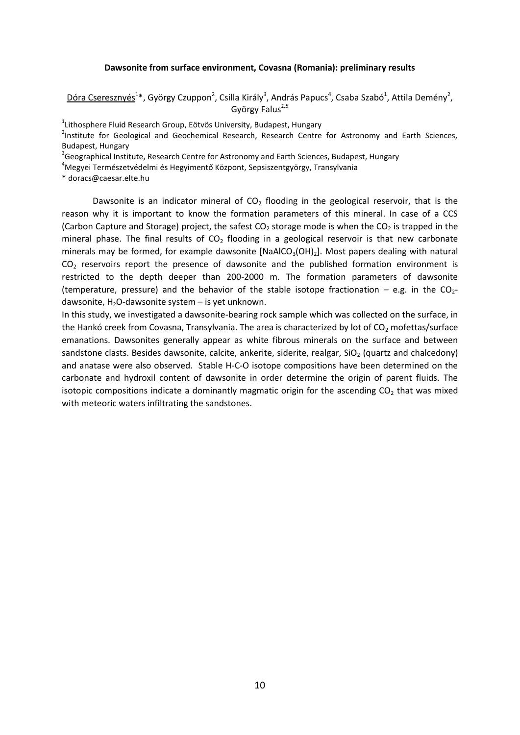#### **Dawsonite from surface environment, Covasna (Romania): preliminary results**

Dóra Cseresznyés<sup>1\*</sup>, György Czuppon<sup>2</sup>, Csilla Király<sup>3</sup>, András Papucs<sup>4</sup>, Csaba Szabó<sup>1</sup>, Attila Demény<sup>2</sup>, György Falus*1,5*

<sup>1</sup>Lithosphere Fluid Research Group, Eötvös University, Budapest, Hungary

<sup>2</sup>Institute for Geological and Geochemical Research, Research Centre for Astronomy and Earth Sciences, Budapest, Hungary

<sup>3</sup>Geographical Institute, Research Centre for Astronomy and Earth Sciences, Budapest, Hungary

<sup>4</sup>Megyei Természetvédelmi és Hegyimentő Központ, Sepsiszentgyörgy, Transylvania

\* doracs@caesar.elte.hu

Dawsonite is an indicator mineral of  $CO<sub>2</sub>$  flooding in the geological reservoir, that is the reason why it is important to know the formation parameters of this mineral. In case of a CCS (Carbon Capture and Storage) project, the safest  $CO<sub>2</sub>$  storage mode is when the  $CO<sub>2</sub>$  is trapped in the mineral phase. The final results of  $CO<sub>2</sub>$  flooding in a geological reservoir is that new carbonate minerals may be formed, for example dawsonite  $[NaA|CO<sub>3</sub>(OH)<sub>2</sub>]$ . Most papers dealing with natural CO<sub>2</sub> reservoirs report the presence of dawsonite and the published formation environment is restricted to the depth deeper than 200-2000 m. The formation parameters of dawsonite (temperature, pressure) and the behavior of the stable isotope fractionation – e.g. in the  $CO<sub>2</sub>$ dawsonite,  $H_2O$ -dawsonite system  $-$  is yet unknown.

In this study, we investigated a dawsonite-bearing rock sample which was collected on the surface, in the Hankó creek from Covasna, Transylvania. The area is characterized by lot of  $CO<sub>2</sub>$  mofettas/surface emanations. Dawsonites generally appear as white fibrous minerals on the surface and between sandstone clasts. Besides dawsonite, calcite, ankerite, siderite, realgar,  $SiO<sub>2</sub>$  (quartz and chalcedony) and anatase were also observed. Stable H-C-O isotope compositions have been determined on the carbonate and hydroxil content of dawsonite in order determine the origin of parent fluids. The isotopic compositions indicate a dominantly magmatic origin for the ascending  $CO<sub>2</sub>$  that was mixed with meteoric waters infiltrating the sandstones.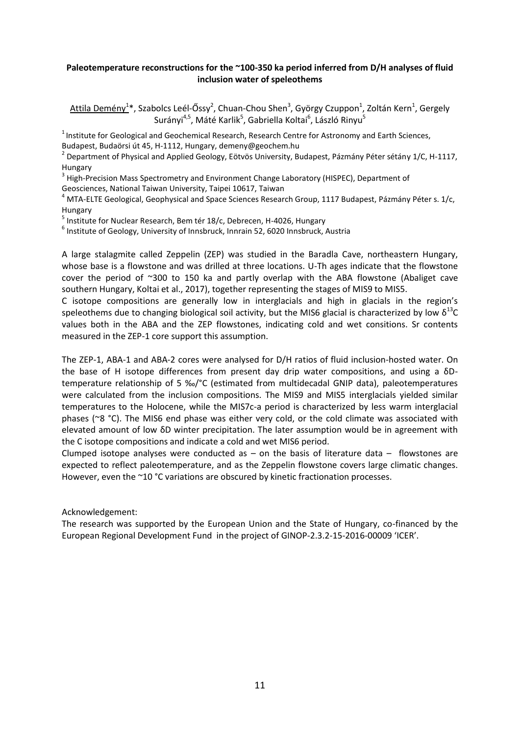# **Paleotemperature reconstructions for the ~100-350 ka period inferred from D/H analyses of fluid inclusion water of speleothems**

Attila Demény<sup>1</sup>\*, Szabolcs Leél-Őssy<sup>2</sup>, Chuan-Chou Shen<sup>3</sup>, György Czuppon<sup>1</sup>, Zoltán Kern<sup>1</sup>, Gergely Surányi<sup>4,5</sup>, Máté Karlik<sup>5</sup>, Gabriella Koltai<sup>6</sup>, László Rinyu<sup>5</sup>

 $<sup>1</sup>$  Institute for Geological and Geochemical Research, Research Centre for Astronomy and Earth Sciences,</sup> Budapest, Budaörsi út 45, H-1112, Hungary, demeny@geochem.hu

<sup>2</sup> Department of Physical and Applied Geology, Eötvös University, Budapest, Pázmány Péter sétány 1/C, H-1117, Hungary

<sup>3</sup> High-Precision Mass Spectrometry and Environment Change Laboratory (HISPEC), Department of

Geosciences, National Taiwan University, Taipei 10617, Taiwan

 $4$  MTA-ELTE Geological, Geophysical and Space Sciences Research Group, 1117 Budapest, Pázmány Péter s. 1/c, Hungary

<sup>5</sup> Institute for Nuclear Research, Bem tér 18/c, Debrecen, H-4026, Hungary

 $^6$  Institute of Geology, University of Innsbruck, Innrain 52, 6020 Innsbruck, Austria

A large stalagmite called Zeppelin (ZEP) was studied in the Baradla Cave, northeastern Hungary, whose base is a flowstone and was drilled at three locations. U-Th ages indicate that the flowstone cover the period of ~300 to 150 ka and partly overlap with the ABA flowstone (Abaliget cave southern Hungary, Koltai et al., 2017), together representing the stages of MIS9 to MIS5.

C isotope compositions are generally low in interglacials and high in glacials in the region's speleothems due to changing biological soil activity, but the MIS6 glacial is characterized by low  $\delta^{13}C$ values both in the ABA and the ZEP flowstones, indicating cold and wet consitions. Sr contents measured in the ZEP-1 core support this assumption.

The ZEP-1, ABA-1 and ABA-2 cores were analysed for D/H ratios of fluid inclusion-hosted water. On the base of H isotope differences from present day drip water compositions, and using a δDtemperature relationship of 5 ‰/°C (estimated from multidecadal GNIP data), paleotemperatures were calculated from the inclusion compositions. The MIS9 and MIS5 interglacials yielded similar temperatures to the Holocene, while the MIS7c-a period is characterized by less warm interglacial phases (~8 °C). The MIS6 end phase was either very cold, or the cold climate was associated with elevated amount of low δD winter precipitation. The later assumption would be in agreement with the C isotope compositions and indicate a cold and wet MIS6 period.

Clumped isotope analyses were conducted as  $-$  on the basis of literature data  $-$  flowstones are expected to reflect paleotemperature, and as the Zeppelin flowstone covers large climatic changes. However, even the ~10 °C variations are obscured by kinetic fractionation processes.

Acknowledgement:

The research was supported by the European Union and the State of Hungary, co-financed by the European Regional Development Fund in the project of GINOP-2.3.2-15-2016-00009 'ICER'.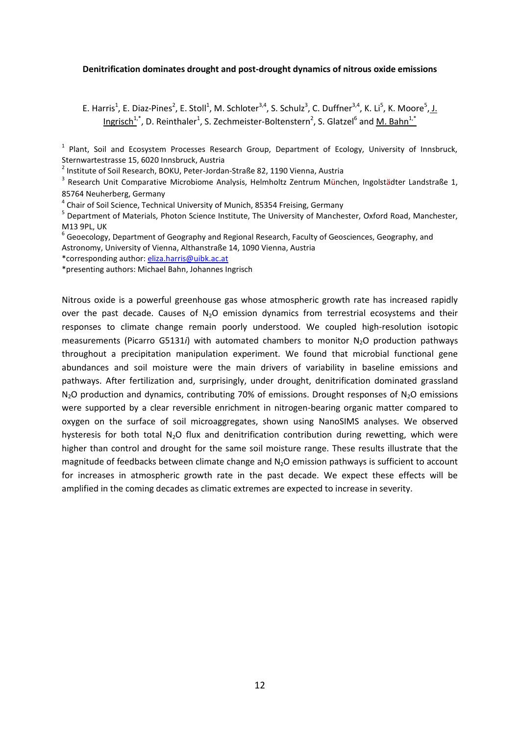#### **Denitrification dominates drought and post-drought dynamics of nitrous oxide emissions**

E. Harris<sup>1</sup>, E. Diaz-Pines<sup>2</sup>, E. Stoll<sup>1</sup>, M. Schloter<sup>3,4</sup>, S. Schulz<sup>3</sup>, C. Duffner<sup>3,4</sup>, K. Li<sup>5</sup>, K. Moore<sup>5</sup>, J. Ingrisch<sup>1,\*</sup>, D. Reinthaler<sup>1</sup>, S. Zechmeister-Boltenstern<sup>2</sup>, S. Glatzel<sup>6</sup> and <u>M. Bahn<sup>1,\*</sup></u>

<sup>1</sup> Plant, Soil and Ecosystem Processes Research Group, Department of Ecology, University of Innsbruck, Sternwartestrasse 15, 6020 Innsbruck, Austria

2 Institute of Soil Research, BOKU, Peter-Jordan-Straße 82, 1190 Vienna, Austria

<sup>3</sup> Research Unit Comparative Microbiome Analysis, Helmholtz Zentrum München, Ingolstädter Landstraße 1, 85764 Neuherberg, Germany

<sup>4</sup> Chair of Soil Science, Technical University of Munich, 85354 Freising, Germany

<sup>5</sup> Department of Materials, Photon Science Institute, The University of Manchester, Oxford Road, Manchester, M13 9PL, UK

 $^6$  Geoecology, Department of Geography and Regional Research, Faculty of Geosciences, Geography, and Astronomy, University of Vienna, Althanstraße 14, 1090 Vienna, Austria

\*corresponding author: [eliza.harris@uibk.ac.at](mailto:eliza.harris@uibk.ac.at)

\*presenting authors: Michael Bahn, Johannes Ingrisch

Nitrous oxide is a powerful greenhouse gas whose atmospheric growth rate has increased rapidly over the past decade. Causes of  $N_2O$  emission dynamics from terrestrial ecosystems and their responses to climate change remain poorly understood. We coupled high-resolution isotopic measurements (Picarro G5131*i*) with automated chambers to monitor N<sub>2</sub>O production pathways throughout a precipitation manipulation experiment. We found that microbial functional gene abundances and soil moisture were the main drivers of variability in baseline emissions and pathways. After fertilization and, surprisingly, under drought, denitrification dominated grassland  $N<sub>2</sub>O$  production and dynamics, contributing 70% of emissions. Drought responses of  $N<sub>2</sub>O$  emissions were supported by a clear reversible enrichment in nitrogen-bearing organic matter compared to oxygen on the surface of soil microaggregates, shown using NanoSIMS analyses. We observed hysteresis for both total N<sub>2</sub>O flux and denitrification contribution during rewetting, which were higher than control and drought for the same soil moisture range. These results illustrate that the magnitude of feedbacks between climate change and  $N<sub>2</sub>O$  emission pathways is sufficient to account for increases in atmospheric growth rate in the past decade. We expect these effects will be amplified in the coming decades as climatic extremes are expected to increase in severity.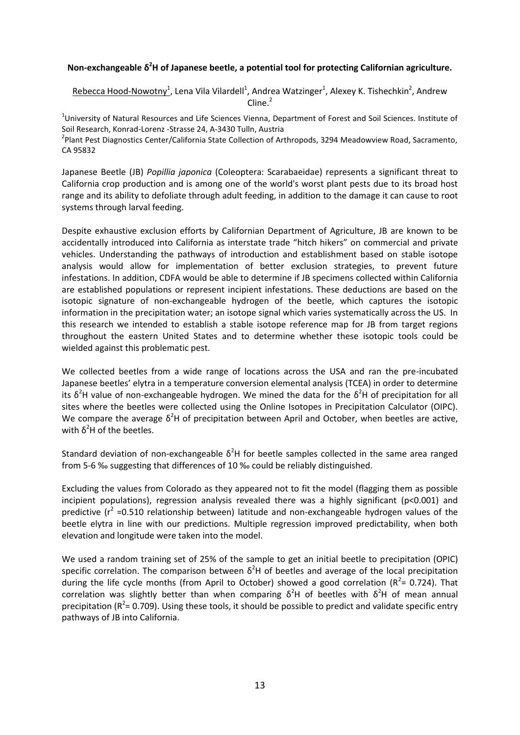# **Non-exchangeable δ <sup>2</sup>H of Japanese beetle, a potential tool for protecting Californian agriculture.**

Rebecca Hood-Nowotny<sup>1</sup>, Lena Vila Vilardell<sup>1</sup>, Andrea Watzinger<sup>1</sup>, Alexey K. Tishechkin<sup>2</sup>, Andrew  $C$ line<sup>2</sup>

<sup>1</sup>University of Natural Resources and Life Sciences Vienna, Department of Forest and Soil Sciences. Institute of Soil Research, Konrad-Lorenz -Strasse 24, A-3430 Tulln, Austria

<sup>2</sup>Plant Pest Diagnostics Center/California State Collection of Arthropods, 3294 Meadowview Road, Sacramento, CA 95832

Japanese Beetle (JB) *Popillia japonica* (Coleoptera: Scarabaeidae) represents a significant threat to California crop production and is among one of the world's worst plant pests due to its broad host range and its ability to defoliate through adult feeding, in addition to the damage it can cause to root systems through larval feeding.

Despite exhaustive exclusion efforts by Californian Department of Agriculture, JB are known to be accidentally introduced into California as interstate trade "hitch hikers" on commercial and private vehicles. Understanding the pathways of introduction and establishment based on stable isotope analysis would allow for implementation of better exclusion strategies, to prevent future infestations. In addition, CDFA would be able to determine if JB specimens collected within California are established populations or represent incipient infestations. These deductions are based on the isotopic signature of non-exchangeable hydrogen of the beetle, which captures the isotopic information in the precipitation water; an isotope signal which varies systematically across the US. In this research we intended to establish a stable isotope reference map for JB from target regions throughout the eastern United States and to determine whether these isotopic tools could be wielded against this problematic pest.

We collected beetles from a wide range of locations across the USA and ran the pre-incubated Japanese beetles' elytra in a temperature conversion elemental analysis (TCEA) in order to determine its  $\delta^2$ H value of non-exchangeable hydrogen. We mined the data for the  $\delta^2$ H of precipitation for all sites where the beetles were collected using the Online Isotopes in Precipitation Calculator (OIPC). We compare the average  $\delta^2$ H of precipitation between April and October, when beetles are active, with  $\delta^2$ H of the beetles.

Standard deviation of non-exchangeable  $\delta^2$ H for beetle samples collected in the same area ranged from 5-6 ‰ suggesting that differences of 10 ‰ could be reliably distinguished.

Excluding the values from Colorado as they appeared not to fit the model (flagging them as possible incipient populations), regression analysis revealed there was a highly significant (p<0.001) and predictive ( $r^2$  =0.510 relationship between) latitude and non-exchangeable hydrogen values of the beetle elytra in line with our predictions. Multiple regression improved predictability, when both elevation and longitude were taken into the model.

We used a random training set of 25% of the sample to get an initial beetle to precipitation (OPIC) specific correlation. The comparison between  $\delta^2$ H of beetles and average of the local precipitation during the life cycle months (from April to October) showed a good correlation ( $R^2$ = 0.724). That correlation was slightly better than when comparing  $\delta^2$ H of beetles with  $\delta^2$ H of mean annual precipitation ( $R^2$ = 0.709). Using these tools, it should be possible to predict and validate specific entry pathways of JB into California.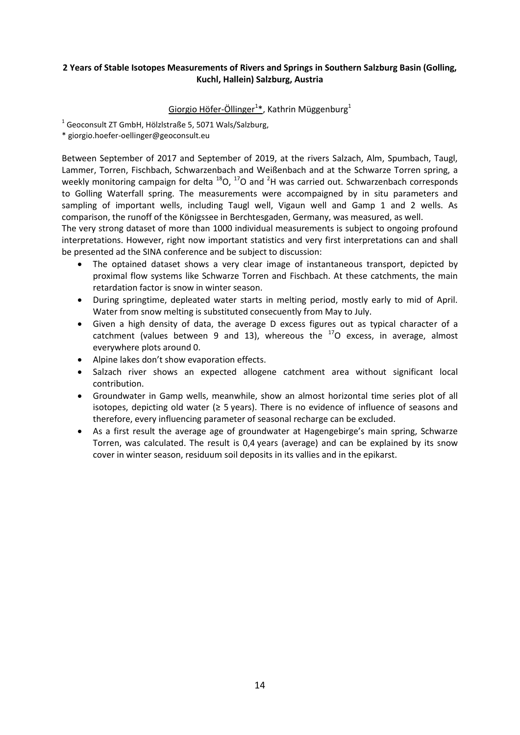# **2 Years of Stable Isotopes Measurements of Rivers and Springs in Southern Salzburg Basin (Golling, Kuchl, Hallein) Salzburg, Austria**

# Giorgio Höfer-Öllinger<sup>1\*</sup>, Kathrin Müggenburg<sup>1</sup>

 $^{1}$  Geoconsult ZT GmbH, Hölzlstraße 5, 5071 Wals/Salzburg,

\* giorgio.hoefer-oellinger@geoconsult.eu

Between September of 2017 and September of 2019, at the rivers Salzach, Alm, Spumbach, Taugl, Lammer, Torren, Fischbach, Schwarzenbach and Weißenbach and at the Schwarze Torren spring, a weekly monitoring campaign for delta  $^{18}$ O,  $^{17}$ O and  $^{2}$ H was carried out. Schwarzenbach corresponds to Golling Waterfall spring. The measurements were accompaigned by in situ parameters and sampling of important wells, including Taugl well, Vigaun well and Gamp 1 and 2 wells. As comparison, the runoff of the Königssee in Berchtesgaden, Germany, was measured, as well.

The very strong dataset of more than 1000 individual measurements is subject to ongoing profound interpretations. However, right now important statistics and very first interpretations can and shall be presented ad the SINA conference and be subject to discussion:

- The optained dataset shows a very clear image of instantaneous transport, depicted by proximal flow systems like Schwarze Torren and Fischbach. At these catchments, the main retardation factor is snow in winter season.
- During springtime, depleated water starts in melting period, mostly early to mid of April. Water from snow melting is substituted consecuently from May to July.
- Given a high density of data, the average D excess figures out as typical character of a catchment (values between 9 and 13), whereous the  $17$ O excess, in average, almost everywhere plots around 0.
- Alpine lakes don't show evaporation effects.
- Salzach river shows an expected allogene catchment area without significant local contribution.
- Groundwater in Gamp wells, meanwhile, show an almost horizontal time series plot of all isotopes, depicting old water ( $\geq$  5 years). There is no evidence of influence of seasons and therefore, every influencing parameter of seasonal recharge can be excluded.
- As a first result the average age of groundwater at Hagengebirge's main spring, Schwarze Torren, was calculated. The result is 0,4 years (average) and can be explained by its snow cover in winter season, residuum soil deposits in its vallies and in the epikarst.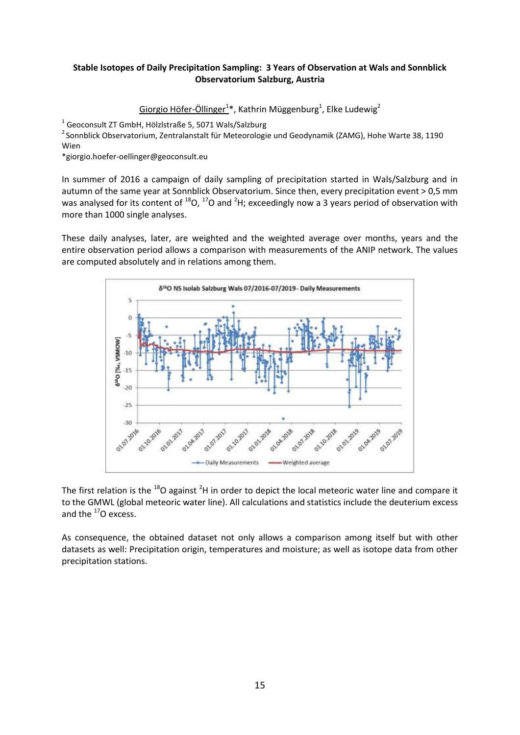# **Stable Isotopes of Daily Precipitation Sampling: 3 Years of Observation at Wals and Sonnblick Observatorium Salzburg, Austria**

```
Giorgio Höfer-Öllinger<sup>1</sup>*, Kathrin Müggenburg<sup>1</sup>, Elke Ludewig<sup>2</sup>
```
 $^{1}$  Geoconsult ZT GmbH, Hölzlstraße 5, 5071 Wals/Salzburg

<sup>2</sup> Sonnblick Observatorium, Zentralanstalt für Meteorologie und Geodynamik (ZAMG), Hohe Warte 38, 1190 Wien

\*giorgio.hoefer-oellinger@geoconsult.eu

In summer of 2016 a campaign of daily sampling of precipitation started in Wals/Salzburg and in autumn of the same year at Sonnblick Observatorium. Since then, every precipitation event > 0,5 mm was analysed for its content of  $^{18}O$ ,  $^{17}O$  and <sup>2</sup>H; exceedingly now a 3 years period of observation with more than 1000 single analyses.

These daily analyses, later, are weighted and the weighted average over months, years and the entire observation period allows a comparison with measurements of the ANIP network. The values are computed absolutely and in relations among them.



The first relation is the  $^{18}$ O against <sup>2</sup>H in order to depict the local meteoric water line and compare it to the GMWL (global meteoric water line). All calculations and statistics include the deuterium excess and the  $^{17}$ O excess.

As consequence, the obtained dataset not only allows a comparison among itself but with other datasets as well: Precipitation origin, temperatures and moisture; as well as isotope data from other precipitation stations.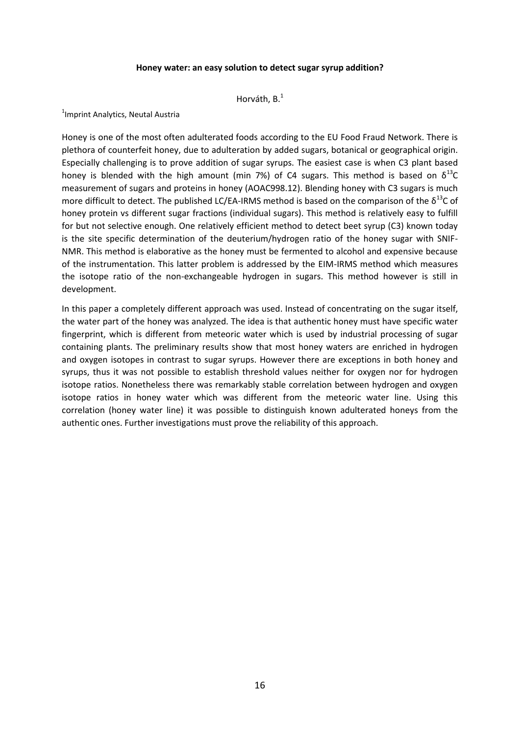#### **Honey water: an easy solution to detect sugar syrup addition?**

Horváth, B.<sup>1</sup>

<sup>1</sup> Imprint Analytics, Neutal Austria

Honey is one of the most often adulterated foods according to the EU Food Fraud Network. There is plethora of counterfeit honey, due to adulteration by added sugars, botanical or geographical origin. Especially challenging is to prove addition of sugar syrups. The easiest case is when C3 plant based honey is blended with the high amount (min 7%) of C4 sugars. This method is based on  $\delta^{13}C$ measurement of sugars and proteins in honey (AOAC998.12). Blending honey with C3 sugars is much more difficult to detect. The published LC/EA-IRMS method is based on the comparison of the  $\delta^{13}$ C of honey protein vs different sugar fractions (individual sugars). This method is relatively easy to fulfill for but not selective enough. One relatively efficient method to detect beet syrup (C3) known today is the site specific determination of the deuterium/hydrogen ratio of the honey sugar with SNIF-NMR. This method is elaborative as the honey must be fermented to alcohol and expensive because of the instrumentation. This latter problem is addressed by the EIM-IRMS method which measures the isotope ratio of the non-exchangeable hydrogen in sugars. This method however is still in development.

In this paper a completely different approach was used. Instead of concentrating on the sugar itself, the water part of the honey was analyzed. The idea is that authentic honey must have specific water fingerprint, which is different from meteoric water which is used by industrial processing of sugar containing plants. The preliminary results show that most honey waters are enriched in hydrogen and oxygen isotopes in contrast to sugar syrups. However there are exceptions in both honey and syrups, thus it was not possible to establish threshold values neither for oxygen nor for hydrogen isotope ratios. Nonetheless there was remarkably stable correlation between hydrogen and oxygen isotope ratios in honey water which was different from the meteoric water line. Using this correlation (honey water line) it was possible to distinguish known adulterated honeys from the authentic ones. Further investigations must prove the reliability of this approach.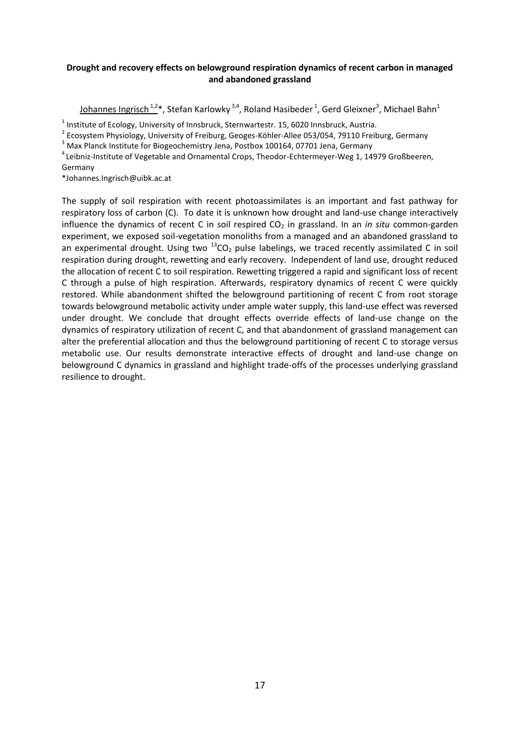# **Drought and recovery effects on belowground respiration dynamics of recent carbon in managed and abandoned grassland**

<u>Johannes Ingrisch 1,2</u>\*, Stefan Karlowky <sup>3,4</sup>, Roland Hasibeder <sup>1</sup>, Gerd Gleixner<sup>3</sup>, Michael Bahn<sup>1</sup>

 $^1$  Institute of Ecology, University of Innsbruck, Sternwartestr. 15, 6020 Innsbruck, Austria.

<sup>2</sup> Ecosystem Physiology, University of Freiburg, Geoges-Köhler-Allee 053/054, 79110 Freiburg, Germany

<sup>3</sup> Max Planck Institute for Biogeochemistry Jena, Postbox 100164, 07701 Jena, Germany

<sup>4</sup>Leibniz-Institute of Vegetable and Ornamental Crops, Theodor-Echtermeyer-Weg 1, 14979 Großbeeren, Germany

\*Johannes.Ingrisch@uibk.ac.at

The supply of soil respiration with recent photoassimilates is an important and fast pathway for respiratory loss of carbon (C). To date it is unknown how drought and land-use change interactively influence the dynamics of recent C in soil respired CO<sub>2</sub> in grassland. In an *in situ* common-garden experiment, we exposed soil-vegetation monoliths from a managed and an abandoned grassland to an experimental drought. Using two  $^{13}CO_2$  pulse labelings, we traced recently assimilated C in soil respiration during drought, rewetting and early recovery. Independent of land use, drought reduced the allocation of recent C to soil respiration. Rewetting triggered a rapid and significant loss of recent C through a pulse of high respiration. Afterwards, respiratory dynamics of recent C were quickly restored. While abandonment shifted the belowground partitioning of recent C from root storage towards belowground metabolic activity under ample water supply, this land-use effect was reversed under drought. We conclude that drought effects override effects of land-use change on the dynamics of respiratory utilization of recent C, and that abandonment of grassland management can alter the preferential allocation and thus the belowground partitioning of recent C to storage versus metabolic use. Our results demonstrate interactive effects of drought and land-use change on belowground C dynamics in grassland and highlight trade-offs of the processes underlying grassland resilience to drought.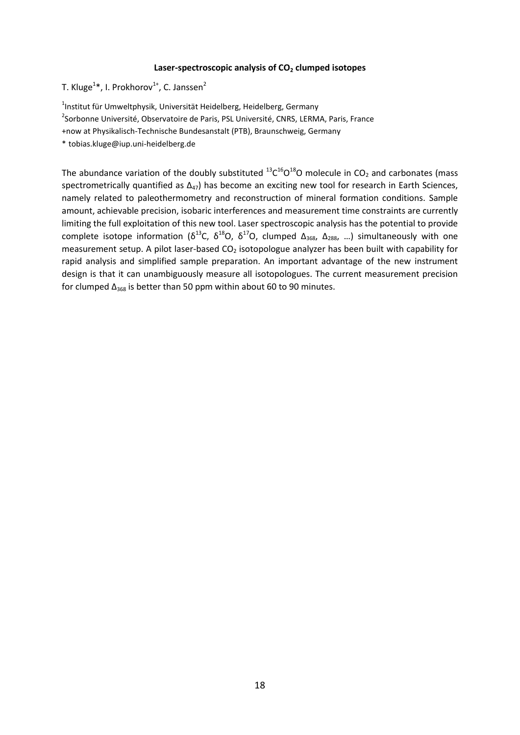#### **Laser-spectroscopic analysis of CO<sup>2</sup> clumped isotopes**

T. Kluge<sup>1</sup>\*, I. Prokhorov<sup>1+</sup>, C. Janssen<sup>2</sup>

<sup>1</sup>Institut für Umweltphysik, Universität Heidelberg, Heidelberg, Germany

<sup>2</sup>Sorbonne Université, Observatoire de Paris, PSL Université, CNRS, LERMA, Paris, France

+now at Physikalisch-Technische Bundesanstalt (PTB), Braunschweig, Germany

\* tobias.kluge@iup.uni-heidelberg.de

The abundance variation of the doubly substituted  $^{13}$ C<sup>16</sup>O<sup>18</sup>O molecule in CO<sub>2</sub> and carbonates (mass spectrometrically quantified as  $\Delta_{47}$ ) has become an exciting new tool for research in Earth Sciences, namely related to paleothermometry and reconstruction of mineral formation conditions. Sample amount, achievable precision, isobaric interferences and measurement time constraints are currently limiting the full exploitation of this new tool. Laser spectroscopic analysis has the potential to provide complete isotope information ( $\delta^{13}C$ ,  $\delta^{18}O$ ,  $\delta^{17}O$ , clumped  $\Delta_{368}$ ,  $\Delta_{288}$ , ...) simultaneously with one measurement setup. A pilot laser-based  $CO<sub>2</sub>$  isotopologue analyzer has been built with capability for rapid analysis and simplified sample preparation. An important advantage of the new instrument design is that it can unambiguously measure all isotopologues. The current measurement precision for clumped  $\Delta_{368}$  is better than 50 ppm within about 60 to 90 minutes.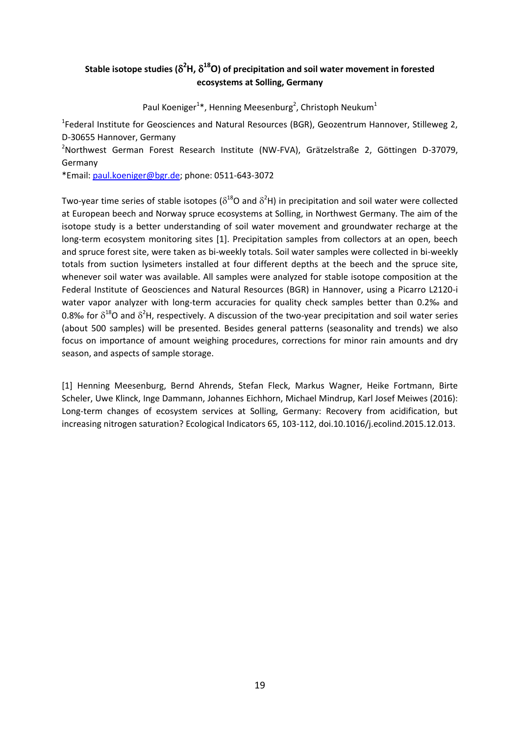# Stable isotope studies ( $\delta^2$ H,  $\delta^{18}$ O) of precipitation and soil water movement in forested **ecosystems at Solling, Germany**

Paul Koeniger<sup>1\*</sup>, Henning Meesenburg<sup>2</sup>, Christoph Neukum<sup>1</sup>

<sup>1</sup>Federal Institute for Geosciences and Natural Resources (BGR), Geozentrum Hannover, Stilleweg 2, D-30655 Hannover, Germany

<sup>2</sup>Northwest German Forest Research Institute (NW-FVA), Grätzelstraße 2, Göttingen D-37079, Germany

\*Email: [paul.koeniger@bgr.de;](mailto:paul.koeniger@bgr.de) phone: 0511-643-3072

Two-year time series of stable isotopes ( $\delta^{18}$ O and  $\delta^2$ H) in precipitation and soil water were collected at European beech and Norway spruce ecosystems at Solling, in Northwest Germany. The aim of the isotope study is a better understanding of soil water movement and groundwater recharge at the long-term ecosystem monitoring sites [1]. Precipitation samples from collectors at an open, beech and spruce forest site, were taken as bi-weekly totals. Soil water samples were collected in bi-weekly totals from suction lysimeters installed at four different depths at the beech and the spruce site, whenever soil water was available. All samples were analyzed for stable isotope composition at the Federal Institute of Geosciences and Natural Resources (BGR) in Hannover, using a Picarro L2120-i water vapor analyzer with long-term accuracies for quality check samples better than 0.2% and 0.8‰ for  $\delta^{18}$ O and  $\delta^2$ H, respectively. A discussion of the two-year precipitation and soil water series (about 500 samples) will be presented. Besides general patterns (seasonality and trends) we also focus on importance of amount weighing procedures, corrections for minor rain amounts and dry season, and aspects of sample storage.

[1] Henning Meesenburg, Bernd Ahrends, Stefan Fleck, Markus Wagner, Heike Fortmann, Birte Scheler, Uwe Klinck, Inge Dammann, Johannes Eichhorn, Michael Mindrup, Karl Josef Meiwes (2016): Long-term changes of ecosystem services at Solling, Germany: Recovery from acidification, but increasing nitrogen saturation? Ecological Indicators 65, 103-112, doi.10.1016/j.ecolind.2015.12.013.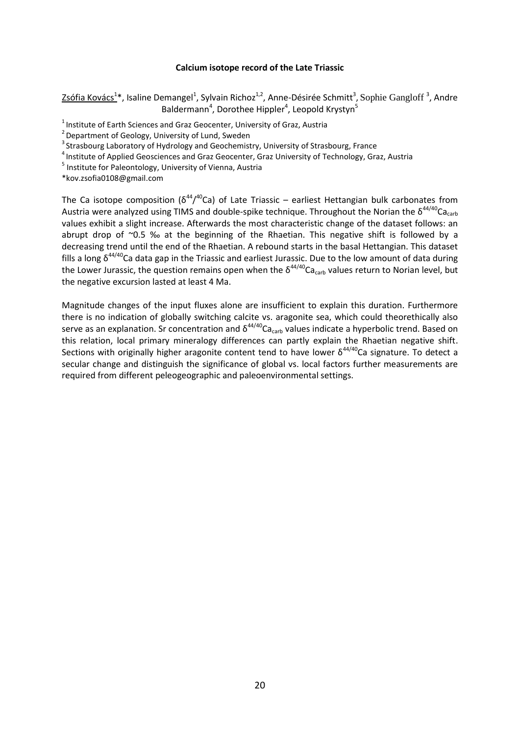#### **Calcium isotope record of the Late Triassic**

Zsófia Kovács<sup>1</sup>\*, Isaline Demangel<sup>1</sup>, Sylvain Richoz<sup>1,2</sup>, Anne-Désirée Schmitt<sup>3</sup>, Sophie Gangloff<sup>3</sup>, Andre Baldermann<sup>4</sup>, Dorothee Hippler<sup>4</sup>, Leopold Krystyn<sup>5</sup>

<sup>1</sup> Institute of Earth Sciences and Graz Geocenter, University of Graz, Austria

 $2$  Department of Geology, University of Lund, Sweden

 $3$  Strasbourg Laboratory of Hydrology and Geochemistry, University of Strasbourg, France

<sup>4</sup> Institute of Applied Geosciences and Graz Geocenter, Graz University of Technology, Graz, Austria

<sup>5</sup> Institute for Paleontology, University of Vienna, Austria

\*kov.zsofia0108@gmail.com

The Ca isotope composition ( $\delta^{44}/^{40}$ Ca) of Late Triassic – earliest Hettangian bulk carbonates from Austria were analyzed using TIMS and double-spike technique. Throughout the Norian the  $\delta^{44/40}$ Ca<sub>carb</sub> values exhibit a slight increase. Afterwards the most characteristic change of the dataset follows: an abrupt drop of  $\degree$ 0.5 ‰ at the beginning of the Rhaetian. This negative shift is followed by a decreasing trend until the end of the Rhaetian. A rebound starts in the basal Hettangian. This dataset fills a long  $\delta^{44/40}$ Ca data gap in the Triassic and earliest Jurassic. Due to the low amount of data during the Lower Jurassic, the question remains open when the  $\delta^{44/40}$ Ca<sub>carb</sub> values return to Norian level, but the negative excursion lasted at least 4 Ma.

Magnitude changes of the input fluxes alone are insufficient to explain this duration. Furthermore there is no indication of globally switching calcite vs. aragonite sea, which could theorethically also serve as an explanation. Sr concentration and  $\delta^{44/40}$ Ca<sub>carb</sub> values indicate a hyperbolic trend. Based on this relation, local primary mineralogy differences can partly explain the Rhaetian negative shift. Sections with originally higher aragonite content tend to have lower  $\delta^{44/40}$ Ca signature. To detect a secular change and distinguish the significance of global vs. local factors further measurements are required from different peleogeographic and paleoenvironmental settings.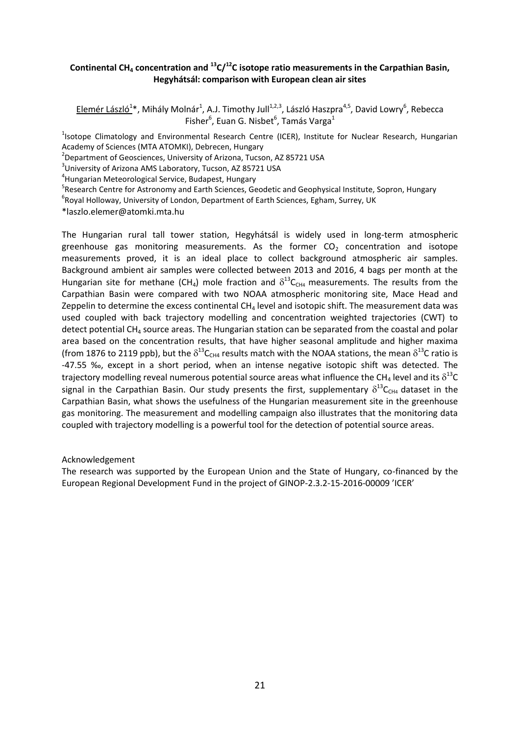# **Continental CH<sup>4</sup> concentration and <sup>13</sup>C/<sup>12</sup>C isotope ratio measurements in the Carpathian Basin, Hegyhátsál: comparison with European clean air sites**

Elemér László<sup>1</sup>\*, Mihály Molnár<sup>1</sup>, A.J. Timothy Jull<sup>1,2,3</sup>, László Haszpra<sup>4,5</sup>, David Lowry<sup>6</sup>, Rebecca Fisher<sup>6</sup>, Euan G. Nisbet<sup>6</sup>, Tamás Varga<sup>1</sup>

<sup>1</sup>Isotope Climatology and Environmental Research Centre (ICER), Institute for Nuclear Research, Hungarian Academy of Sciences (MTA ATOMKI), Debrecen, Hungary

<sup>2</sup>Department of Geosciences, University of Arizona, Tucson, AZ 85721 USA

3 University of Arizona AMS Laboratory, Tucson, AZ 85721 USA

4 Hungarian Meteorological Service, Budapest, Hungary

<sup>5</sup>Research Centre for Astronomy and Earth Sciences, Geodetic and Geophysical Institute, Sopron, Hungary

<sup>6</sup>Royal Holloway, University of London, Department of Earth Sciences, Egham, Surrey, UK

\*laszlo.elemer@atomki.mta.hu

The Hungarian rural tall tower station, Hegyhátsál is widely used in long-term atmospheric greenhouse gas monitoring measurements. As the former  $CO<sub>2</sub>$  concentration and isotope measurements proved, it is an ideal place to collect background atmospheric air samples. Background ambient air samples were collected between 2013 and 2016, 4 bags per month at the Hungarian site for methane (CH<sub>4</sub>) mole fraction and  $\delta^{13}C_{CH4}$  measurements. The results from the Carpathian Basin were compared with two NOAA atmospheric monitoring site, Mace Head and Zeppelin to determine the excess continental  $CH<sub>4</sub>$  level and isotopic shift. The measurement data was used coupled with back trajectory modelling and concentration weighted trajectories (CWT) to detect potential  $CH<sub>4</sub>$  source areas. The Hungarian station can be separated from the coastal and polar area based on the concentration results, that have higher seasonal amplitude and higher maxima (from 1876 to 2119 ppb), but the  $\delta^{13}C_{CH4}$  results match with the NOAA stations, the mean  $\delta^{13}$ C ratio is -47.55 ‰, except in a short period, when an intense negative isotopic shift was detected. The trajectory modelling reveal numerous potential source areas what influence the CH<sub>4</sub> level and its  $\delta^{13}$ C signal in the Carpathian Basin. Our study presents the first, supplementary  $\delta^{13}C_{CH4}$  dataset in the Carpathian Basin, what shows the usefulness of the Hungarian measurement site in the greenhouse gas monitoring. The measurement and modelling campaign also illustrates that the monitoring data coupled with trajectory modelling is a powerful tool for the detection of potential source areas.

#### Acknowledgement

The research was supported by the European Union and the State of Hungary, co-financed by the European Regional Development Fund in the project of GINOP-2.3.2-15-2016-00009 'ICER'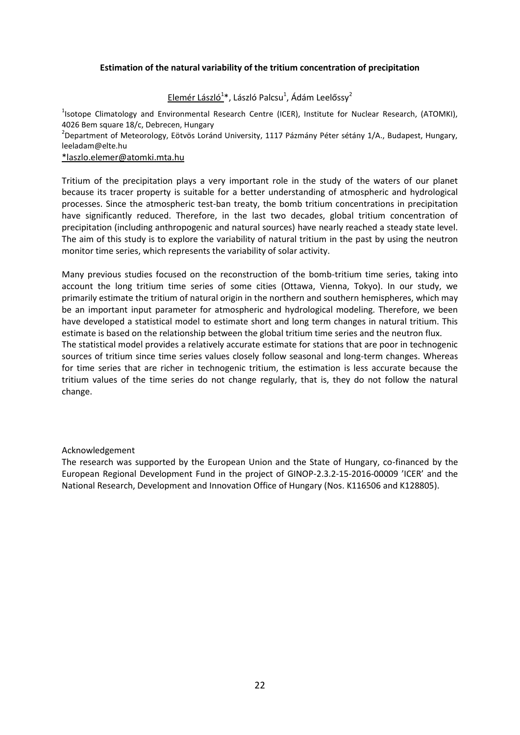# **Estimation of the natural variability of the tritium concentration of precipitation**

Elemér László<sup>1</sup>\*, László Palcsu<sup>1</sup>, Ádám Leelőssy<sup>2</sup>

<sup>1</sup>Isotope Climatology and Environmental Research Centre (ICER), Institute for Nuclear Research, (ATOMKI), 4026 Bem square 18/c, Debrecen, Hungary

<sup>2</sup>Department of Meteorology, Eötvös Loránd University, 1117 Pázmány Péter sétány 1/A., Budapest, Hungary, leeladam@elte.hu

#### [\\*laszlo.elemer@atomki.mta.hu](mailto:*laszlo.elemer@atomki.mta.hu)

Tritium of the precipitation plays a very important role in the study of the waters of our planet because its tracer property is suitable for a better understanding of atmospheric and hydrological processes. Since the atmospheric test-ban treaty, the bomb tritium concentrations in precipitation have significantly reduced. Therefore, in the last two decades, global tritium concentration of precipitation (including anthropogenic and natural sources) have nearly reached a steady state level. The aim of this study is to explore the variability of natural tritium in the past by using the neutron monitor time series, which represents the variability of solar activity.

Many previous studies focused on the reconstruction of the bomb-tritium time series, taking into account the long tritium time series of some cities (Ottawa, Vienna, Tokyo). In our study, we primarily estimate the tritium of natural origin in the northern and southern hemispheres, which may be an important input parameter for atmospheric and hydrological modeling. Therefore, we been have developed a statistical model to estimate short and long term changes in natural tritium. This estimate is based on the relationship between the global tritium time series and the neutron flux.

The statistical model provides a relatively accurate estimate for stations that are poor in technogenic sources of tritium since time series values closely follow seasonal and long-term changes. Whereas for time series that are richer in technogenic tritium, the estimation is less accurate because the tritium values of the time series do not change regularly, that is, they do not follow the natural change.

# Acknowledgement

The research was supported by the European Union and the State of Hungary, co-financed by the European Regional Development Fund in the project of GINOP-2.3.2-15-2016-00009 'ICER' and the National Research, Development and Innovation Office of Hungary (Nos. K116506 and K128805).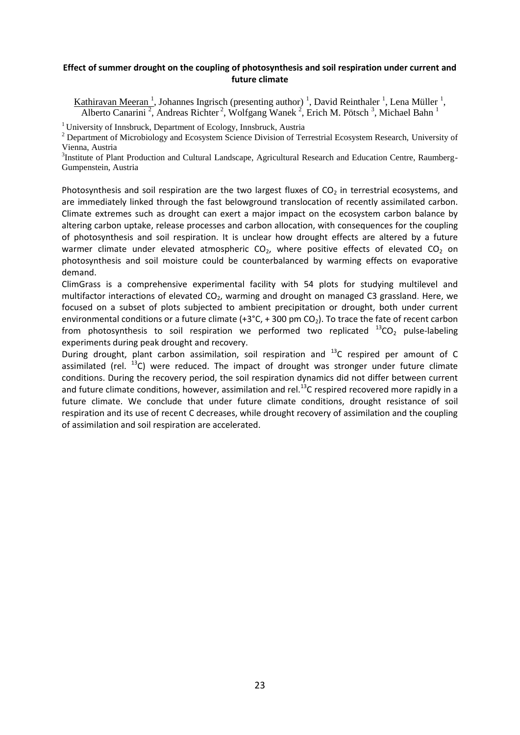## **Effect of summer drought on the coupling of photosynthesis and soil respiration under current and future climate**

Kathiravan Meeran<sup>1</sup>, Johannes Ingrisch (presenting author)<sup>1</sup>, David Reinthaler<sup>1</sup>, Lena Müller<sup>1</sup>, Alberto Canarini<sup>2</sup>, Andreas Richter<sup>2</sup>, Wolfgang Wanek<sup>2</sup>, Erich M. Pötsch<sup>3</sup>, Michael Bahn<sup>1</sup>

<sup>1</sup> University of Innsbruck, Department of Ecology, Innsbruck, Austria

<sup>2</sup> Department of Microbiology and Ecosystem Science Division of Terrestrial Ecosystem Research, University of Vienna, Austria

<sup>3</sup>Institute of Plant Production and Cultural Landscape, Agricultural Research and Education Centre, Raumberg-Gumpenstein, Austria

Photosynthesis and soil respiration are the two largest fluxes of  $CO<sub>2</sub>$  in terrestrial ecosystems, and are immediately linked through the fast belowground translocation of recently assimilated carbon. Climate extremes such as drought can exert a major impact on the ecosystem carbon balance by altering carbon uptake, release processes and carbon allocation, with consequences for the coupling of photosynthesis and soil respiration. It is unclear how drought effects are altered by a future warmer climate under elevated atmospheric  $CO<sub>2</sub>$ , where positive effects of elevated  $CO<sub>2</sub>$  on photosynthesis and soil moisture could be counterbalanced by warming effects on evaporative demand.

ClimGrass is a comprehensive experimental facility with 54 plots for studying multilevel and multifactor interactions of elevated  $CO<sub>2</sub>$ , warming and drought on managed C3 grassland. Here, we focused on a subset of plots subjected to ambient precipitation or drought, both under current environmental conditions or a future climate  $(+3°C, +300 \text{ pm } CO<sub>2</sub>)$ . To trace the fate of recent carbon from photosynthesis to soil respiration we performed two replicated  $^{13}CO_2$  pulse-labeling experiments during peak drought and recovery.

During drought, plant carbon assimilation, soil respiration and <sup>13</sup>C respired per amount of C assimilated (rel.  $^{13}$ C) were reduced. The impact of drought was stronger under future climate conditions. During the recovery period, the soil respiration dynamics did not differ between current and future climate conditions, however, assimilation and rel.<sup>13</sup>C respired recovered more rapidly in a future climate. We conclude that under future climate conditions, drought resistance of soil respiration and its use of recent C decreases, while drought recovery of assimilation and the coupling of assimilation and soil respiration are accelerated.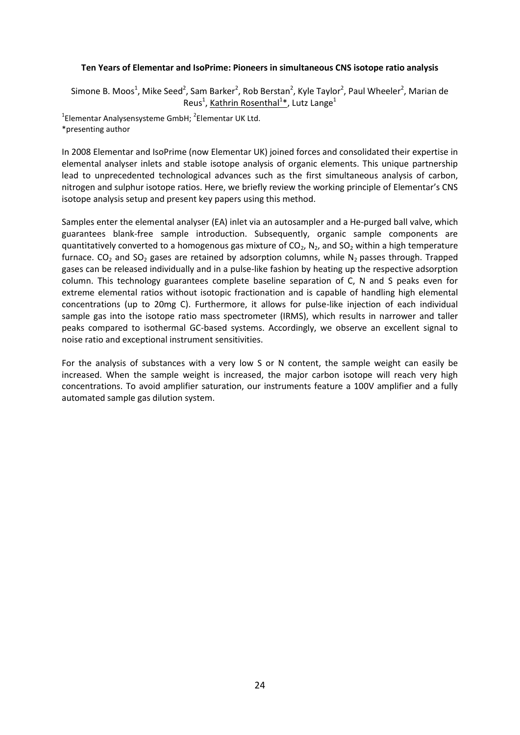## **Ten Years of Elementar and IsoPrime: Pioneers in simultaneous CNS isotope ratio analysis**

Simone B. Moos<sup>1</sup>, Mike Seed<sup>2</sup>, Sam Barker<sup>2</sup>, Rob Berstan<sup>2</sup>, Kyle Taylor<sup>2</sup>, Paul Wheeler<sup>2</sup>, Marian de Reus<sup>1</sup>, Kathrin Rosenthal<sup>1\*</sup>, Lutz Lange<sup>1</sup>

 $^{1}$ Elementar Analysensysteme GmbH;  $^{2}$ Elementar UK Ltd. \*presenting author

In 2008 Elementar and IsoPrime (now Elementar UK) joined forces and consolidated their expertise in elemental analyser inlets and stable isotope analysis of organic elements. This unique partnership lead to unprecedented technological advances such as the first simultaneous analysis of carbon, nitrogen and sulphur isotope ratios. Here, we briefly review the working principle of Elementar's CNS isotope analysis setup and present key papers using this method.

Samples enter the elemental analyser (EA) inlet via an autosampler and a He-purged ball valve, which guarantees blank-free sample introduction. Subsequently, organic sample components are quantitatively converted to a homogenous gas mixture of  $CO<sub>2</sub>$ , N<sub>2</sub>, and SO<sub>2</sub> within a high temperature furnace.  $CO_2$  and  $SO_2$  gases are retained by adsorption columns, while N<sub>2</sub> passes through. Trapped gases can be released individually and in a pulse-like fashion by heating up the respective adsorption column. This technology guarantees complete baseline separation of C, N and S peaks even for extreme elemental ratios without isotopic fractionation and is capable of handling high elemental concentrations (up to 20mg C). Furthermore, it allows for pulse-like injection of each individual sample gas into the isotope ratio mass spectrometer (IRMS), which results in narrower and taller peaks compared to isothermal GC-based systems. Accordingly, we observe an excellent signal to noise ratio and exceptional instrument sensitivities.

For the analysis of substances with a very low S or N content, the sample weight can easily be increased. When the sample weight is increased, the major carbon isotope will reach very high concentrations. To avoid amplifier saturation, our instruments feature a 100V amplifier and a fully automated sample gas dilution system.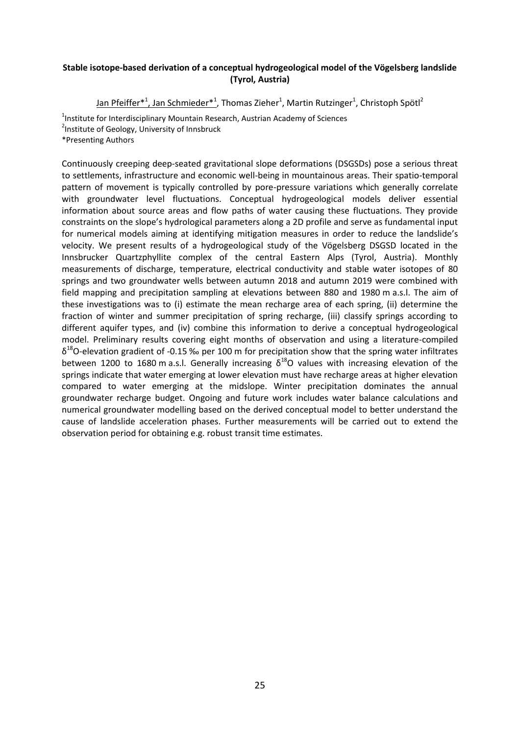# **Stable isotope-based derivation of a conceptual hydrogeological model of the Vögelsberg landslide (Tyrol, Austria)**

<u>Jan Pfeiffer\*<sup>1</sup>, Jan Schmieder\*<sup>1</sup>,</u> Thomas Zieher<sup>1</sup>, Martin Rutzinger<sup>1</sup>, Christoph Spötl<sup>2</sup>

<sup>1</sup>Institute for Interdisciplinary Mountain Research, Austrian Academy of Sciences <sup>2</sup>Institute of Geology, University of Innsbruck

\*Presenting Authors

Continuously creeping deep-seated gravitational slope deformations (DSGSDs) pose a serious threat to settlements, infrastructure and economic well-being in mountainous areas. Their spatio-temporal pattern of movement is typically controlled by pore-pressure variations which generally correlate with groundwater level fluctuations. Conceptual hydrogeological models deliver essential information about source areas and flow paths of water causing these fluctuations. They provide constraints on the slope's hydrological parameters along a 2D profile and serve as fundamental input for numerical models aiming at identifying mitigation measures in order to reduce the landslide's velocity. We present results of a hydrogeological study of the Vögelsberg DSGSD located in the Innsbrucker Quartzphyllite complex of the central Eastern Alps (Tyrol, Austria). Monthly measurements of discharge, temperature, electrical conductivity and stable water isotopes of 80 springs and two groundwater wells between autumn 2018 and autumn 2019 were combined with field mapping and precipitation sampling at elevations between 880 and 1980 m a.s.l. The aim of these investigations was to (i) estimate the mean recharge area of each spring, (ii) determine the fraction of winter and summer precipitation of spring recharge, (iii) classify springs according to different aquifer types, and (iv) combine this information to derive a conceptual hydrogeological model. Preliminary results covering eight months of observation and using a literature-compiled  $\delta^{18}$ O-elevation gradient of -0.15 ‰ per 100 m for precipitation show that the spring water infiltrates between 1200 to 1680 m a.s.l. Generally increasing  $\delta^{18}$ O values with increasing elevation of the springs indicate that water emerging at lower elevation must have recharge areas at higher elevation compared to water emerging at the midslope. Winter precipitation dominates the annual groundwater recharge budget. Ongoing and future work includes water balance calculations and numerical groundwater modelling based on the derived conceptual model to better understand the cause of landslide acceleration phases. Further measurements will be carried out to extend the observation period for obtaining e.g. robust transit time estimates.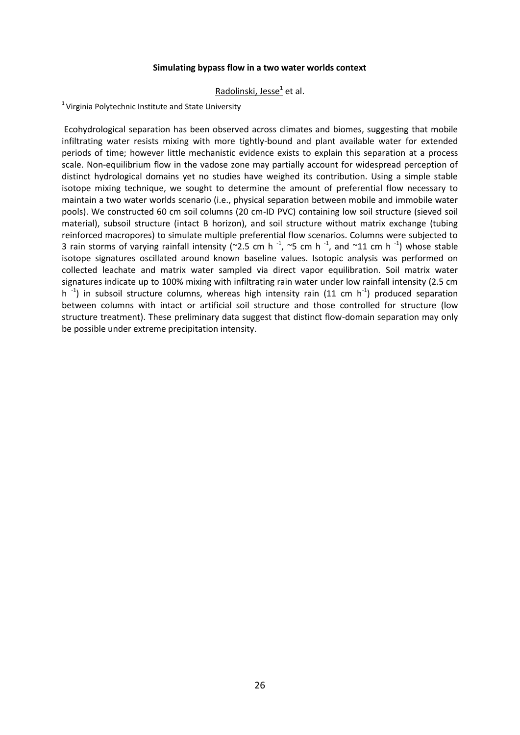## **Simulating bypass flow in a two water worlds context**

# Radolinski, Jesse<sup>1</sup> et al.

 $1$  Virginia Polytechnic Institute and State University

Ecohydrological separation has been observed across climates and biomes, suggesting that mobile infiltrating water resists mixing with more tightly-bound and plant available water for extended periods of time; however little mechanistic evidence exists to explain this separation at a process scale. Non-equilibrium flow in the vadose zone may partially account for widespread perception of distinct hydrological domains yet no studies have weighed its contribution. Using a simple stable isotope mixing technique, we sought to determine the amount of preferential flow necessary to maintain a two water worlds scenario (i.e., physical separation between mobile and immobile water pools). We constructed 60 cm soil columns (20 cm-ID PVC) containing low soil structure (sieved soil material), subsoil structure (intact B horizon), and soil structure without matrix exchange (tubing reinforced macropores) to simulate multiple preferential flow scenarios. Columns were subjected to 3 rain storms of varying rainfall intensity (~2.5 cm h<sup>-1</sup>, ~5 cm h<sup>-1</sup>, and ~11 cm h<sup>-1</sup>) whose stable isotope signatures oscillated around known baseline values. Isotopic analysis was performed on collected leachate and matrix water sampled via direct vapor equilibration. Soil matrix water signatures indicate up to 100% mixing with infiltrating rain water under low rainfall intensity (2.5 cm h<sup>-1</sup>) in subsoil structure columns, whereas high intensity rain (11 cm h<sup>-1</sup>) produced separation between columns with intact or artificial soil structure and those controlled for structure (low structure treatment). These preliminary data suggest that distinct flow-domain separation may only be possible under extreme precipitation intensity.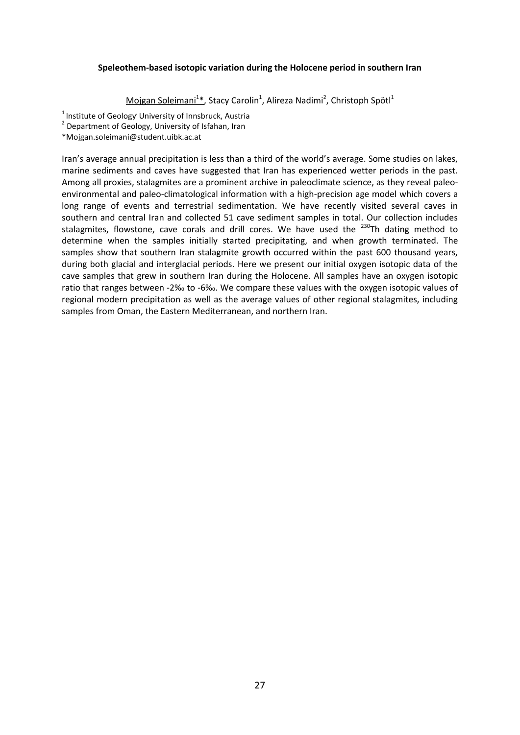## **Speleothem-based isotopic variation during the Holocene period in southern Iran**

Mojgan Soleimani<sup>1\*</sup>, Stacy Carolin<sup>1</sup>, Alireza Nadimi<sup>2</sup>, Christoph Spötl<sup>1</sup>

 $<sup>1</sup>$  Institute of Geology' University of Innsbruck, Austria</sup>

<sup>2</sup> Department of Geology, University of Isfahan, Iran

\*Mojgan.soleimani@student.uibk.ac.at

Iran's average annual precipitation is less than a third of the world's average. Some studies on lakes, marine sediments and caves have suggested that Iran has experienced wetter periods in the past. Among all proxies, stalagmites are a prominent archive in paleoclimate science, as they reveal paleoenvironmental and paleo-climatological information with a high-precision age model which covers a long range of events and terrestrial sedimentation. We have recently visited several caves in southern and central Iran and collected 51 cave sediment samples in total. Our collection includes stalagmites, flowstone, cave corals and drill cores. We have used the <sup>230</sup>Th dating method to determine when the samples initially started precipitating, and when growth terminated. The samples show that southern Iran stalagmite growth occurred within the past 600 thousand years, during both glacial and interglacial periods. Here we present our initial oxygen isotopic data of the cave samples that grew in southern Iran during the Holocene. All samples have an oxygen isotopic ratio that ranges between -2‰ to -6‰. We compare these values with the oxygen isotopic values of regional modern precipitation as well as the average values of other regional stalagmites, including samples from Oman, the Eastern Mediterranean, and northern Iran.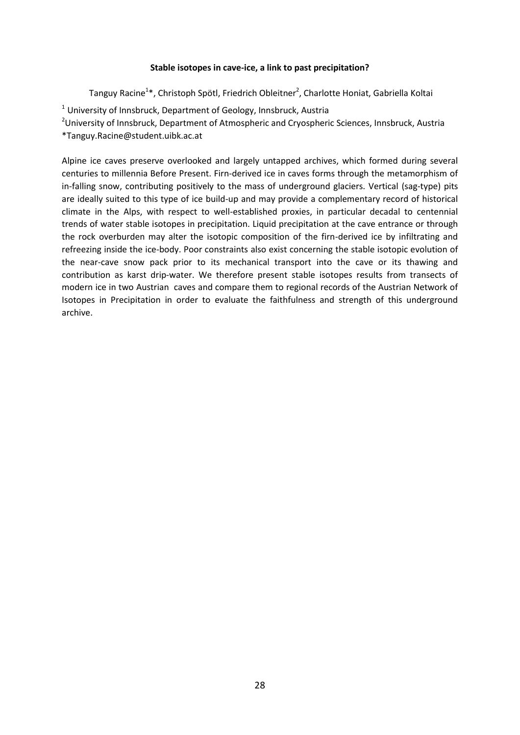# **Stable isotopes in cave-ice, a link to past precipitation?**

Tanguy Racine<sup>1\*</sup>, Christoph Spötl, Friedrich Obleitner<sup>2</sup>, Charlotte Honiat, Gabriella Koltai

 $1$  University of Innsbruck, Department of Geology, Innsbruck, Austria

<sup>2</sup>University of Innsbruck, Department of Atmospheric and Cryospheric Sciences, Innsbruck, Austria

\*Tanguy.Racine@student.uibk.ac.at

Alpine ice caves preserve overlooked and largely untapped archives, which formed during several centuries to millennia Before Present. Firn-derived ice in caves forms through the metamorphism of in-falling snow, contributing positively to the mass of underground glaciers. Vertical (sag-type) pits are ideally suited to this type of ice build-up and may provide a complementary record of historical climate in the Alps, with respect to well-established proxies, in particular decadal to centennial trends of water stable isotopes in precipitation. Liquid precipitation at the cave entrance or through the rock overburden may alter the isotopic composition of the firn-derived ice by infiltrating and refreezing inside the ice-body. Poor constraints also exist concerning the stable isotopic evolution of the near-cave snow pack prior to its mechanical transport into the cave or its thawing and contribution as karst drip-water. We therefore present stable isotopes results from transects of modern ice in two Austrian caves and compare them to regional records of the Austrian Network of Isotopes in Precipitation in order to evaluate the faithfulness and strength of this underground archive.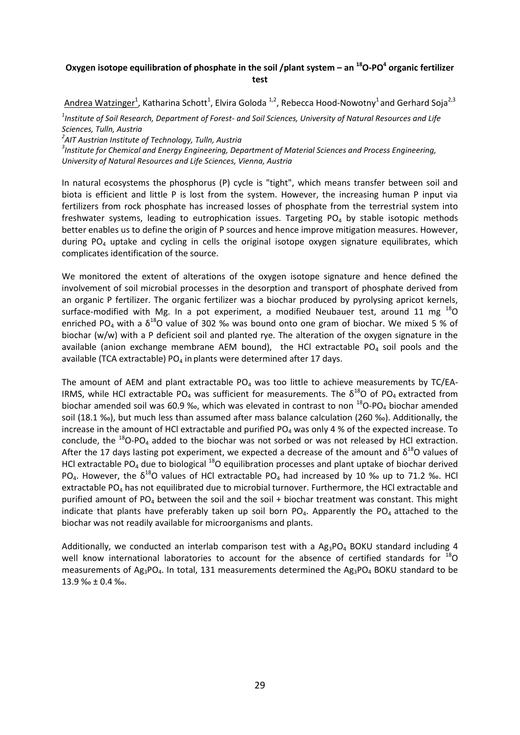# **Oxygen isotope equilibration of phosphate in the soil /plant system – an <sup>18</sup>O-PO<sup>4</sup> organic fertilizer test**

Andrea Watzinger<sup>1</sup>, Katharina Schott<sup>1</sup>, Elvira Goloda <sup>1,2</sup>, Rebecca Hood-Nowotny<sup>1</sup> and Gerhard Soja<sup>2,3</sup>

*1 Institute of Soil Research, Department of Forest- and Soil Sciences, University of Natural Resources and Life Sciences, Tulln, Austria*

*2 AIT Austrian Institute of Technology, Tulln, Austria*

*3 Institute for Chemical and Energy Engineering, Department of Material Sciences and Process Engineering, University of Natural Resources and Life Sciences, Vienna, Austria*

In natural ecosystems the phosphorus (P) cycle is "tight", which means transfer between soil and biota is efficient and little P is lost from the system. However, the increasing human P input via fertilizers from rock phosphate has increased losses of phosphate from the terrestrial system into freshwater systems, leading to eutrophication issues. Targeting  $PO<sub>4</sub>$  by stable isotopic methods better enables us to define the origin of P sources and hence improve mitigation measures. However, during  $PO_4$  uptake and cycling in cells the original isotope oxygen signature equilibrates, which complicates identification of the source.

We monitored the extent of alterations of the oxygen isotope signature and hence defined the involvement of soil microbial processes in the desorption and transport of phosphate derived from an organic P fertilizer. The organic fertilizer was a biochar produced by pyrolysing apricot kernels, surface-modified with Mg. In a pot experiment, a modified Neubauer test, around 11 mg  $^{18}$ O enriched PO<sub>4</sub> with a  $\delta^{18}$ O value of 302 ‰ was bound onto one gram of biochar. We mixed 5 % of biochar (w/w) with a P deficient soil and planted rye. The alteration of the oxygen signature in the available (anion exchange membrane AEM bound), the HCl extractable  $PO<sub>4</sub>$  soil pools and the available (TCA extractable) PO<sub>4</sub> in plants were determined after 17 days.

The amount of AEM and plant extractable  $PO_4$  was too little to achieve measurements by TC/EA-IRMS, while HCl extractable PO<sub>4</sub> was sufficient for measurements. The  $\delta^{18}$ O of PO<sub>4</sub> extracted from biochar amended soil was 60.9 ‰, which was elevated in contrast to non  $^{18}$ O-PO<sub>4</sub> biochar amended soil (18.1 ‰), but much less than assumed after mass balance calculation (260 ‰). Additionally, the increase in the amount of HCl extractable and purified PO<sub>4</sub> was only 4 % of the expected increase. To conclude, the  $^{18}$ O-PO<sub>4</sub> added to the biochar was not sorbed or was not released by HCl extraction. After the 17 days lasting pot experiment, we expected a decrease of the amount and  $\delta^{18}$ O values of HCl extractable PO<sub>4</sub> due to biological  $^{18}$ O equilibration processes and plant uptake of biochar derived PO<sub>4</sub>. However, the  $\delta^{18}$ O values of HCl extractable PO<sub>4</sub> had increased by 10 ‰ up to 71.2 ‰. HCl extractable PO<sub>4</sub> has not equilibrated due to microbial turnover. Furthermore, the HCl extractable and purified amount of PO<sub>4</sub> between the soil and the soil + biochar treatment was constant. This might indicate that plants have preferably taken up soil born  $PO<sub>4</sub>$ . Apparently the  $PO<sub>4</sub>$  attached to the biochar was not readily available for microorganisms and plants.

Additionally, we conducted an interlab comparison test with a  $A_{\text{B}_3}PO_4$  BOKU standard including 4 well know international laboratories to account for the absence of certified standards for  $^{18}$ O measurements of Ag<sub>3</sub>PO<sub>4</sub>. In total, 131 measurements determined the Ag<sub>3</sub>PO<sub>4</sub> BOKU standard to be 13.9 ‰ ± 0.4 ‰.